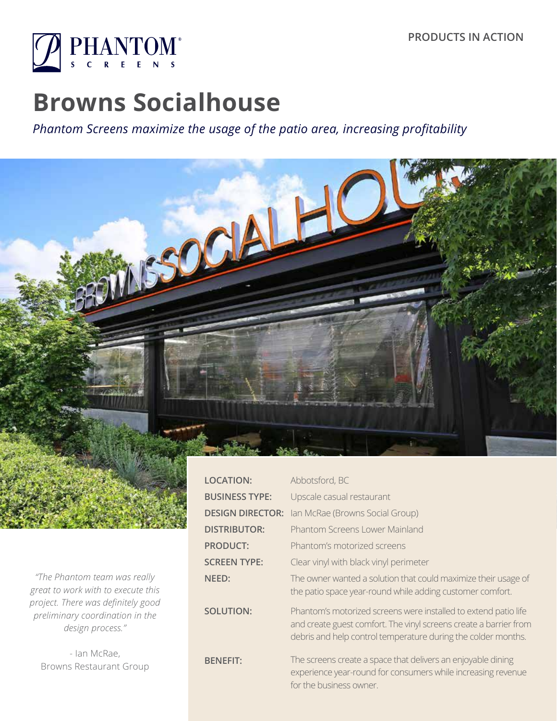

# **Browns Socialhouse**

*Phantom Screens maximize the usage of the patio area, increasing profitability*



*"The Phantom team was really great to work with to execute this project. There was definitely good preliminary coordination in the design process."* 

- Ian McRae, Browns Restaurant Group

| <b>LOCATION:</b>        | Abbotsford, BC                                                                                                                                                                                        |  |
|-------------------------|-------------------------------------------------------------------------------------------------------------------------------------------------------------------------------------------------------|--|
| <b>BUSINESS TYPE:</b>   | Upscale casual restaurant                                                                                                                                                                             |  |
| <b>DESIGN DIRECTOR:</b> | Ian McRae (Browns Social Group)                                                                                                                                                                       |  |
| <b>DISTRIBUTOR:</b>     | <b>Phantom Screens Lower Mainland</b>                                                                                                                                                                 |  |
| <b>PRODUCT:</b>         | Phantom's motorized screens                                                                                                                                                                           |  |
| <b>SCREEN TYPE:</b>     | Clear vinyl with black vinyl perimeter                                                                                                                                                                |  |
| NEED:                   | The owner wanted a solution that could maximize their usage of<br>the patio space year-round while adding customer comfort.                                                                           |  |
| <b>SOLUTION:</b>        | Phantom's motorized screens were installed to extend patio life<br>and create guest comfort. The vinyl screens create a barrier from<br>debris and help control temperature during the colder months. |  |
| <b>BENEFIT:</b>         | The screens create a space that delivers an enjoyable dining<br>experience year-round for consumers while increasing revenue<br>for the business owner.                                               |  |